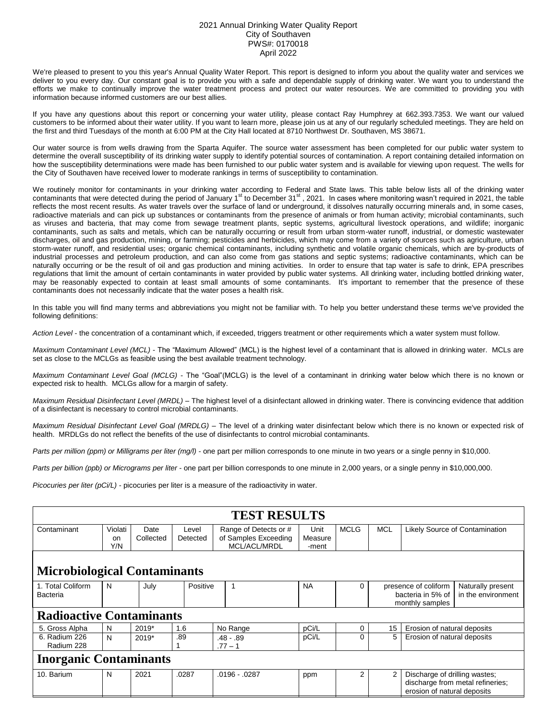## 2021 Annual Drinking Water Quality Report City of Southaven PWS#: 0170018 April 2022

We're pleased to present to you this year's Annual Quality Water Report. This report is designed to inform you about the quality water and services we deliver to you every day. Our constant goal is to provide you with a safe and dependable supply of drinking water. We want you to understand the efforts we make to continually improve the water treatment process and protect our water resources. We are committed to providing you with information because informed customers are our best allies.

If you have any questions about this report or concerning your water utility, please contact Ray Humphrey at 662.393.7353. We want our valued customers to be informed about their water utility. If you want to learn more, please join us at any of our regularly scheduled meetings. They are held on the first and third Tuesdays of the month at 6:00 PM at the City Hall located at 8710 Northwest Dr. Southaven, MS 38671.

Our water source is from wells drawing from the Sparta Aquifer. The source water assessment has been completed for our public water system to determine the overall susceptibility of its drinking water supply to identify potential sources of contamination. A report containing detailed information on how the susceptibility determinations were made has been furnished to our public water system and is available for viewing upon request. The wells for the City of Southaven have received lower to moderate rankings in terms of susceptibility to contamination.

We routinely monitor for contaminants in your drinking water according to Federal and State laws. This table below lists all of the drinking water contaminants that were detected during the period of January 1<sup>st</sup> to December 31<sup>st</sup>, 2021. In cases where monitoring wasn't required in 2021, the table reflects the most recent results. As water travels over the surface of land or underground, it dissolves naturally occurring minerals and, in some cases, radioactive materials and can pick up substances or contaminants from the presence of animals or from human activity; microbial contaminants, such as viruses and bacteria, that may come from sewage treatment plants, septic systems, agricultural livestock operations, and wildlife; inorganic contaminants, such as salts and metals, which can be naturally occurring or result from urban storm-water runoff, industrial, or domestic wastewater discharges, oil and gas production, mining, or farming; pesticides and herbicides, which may come from a variety of sources such as agriculture, urban storm-water runoff, and residential uses; organic chemical contaminants, including synthetic and volatile organic chemicals, which are by-products of industrial processes and petroleum production, and can also come from gas stations and septic systems; radioactive contaminants, which can be naturally occurring or be the result of oil and gas production and mining activities. In order to ensure that tap water is safe to drink, EPA prescribes regulations that limit the amount of certain contaminants in water provided by public water systems. All drinking water, including bottled drinking water, may be reasonably expected to contain at least small amounts of some contaminants. It's important to remember that the presence of these contaminants does not necessarily indicate that the water poses a health risk.

In this table you will find many terms and abbreviations you might not be familiar with. To help you better understand these terms we've provided the following definitions:

*Action Level* - the concentration of a contaminant which, if exceeded, triggers treatment or other requirements which a water system must follow.

*Maximum Contaminant Level (MCL)* - The "Maximum Allowed" (MCL) is the highest level of a contaminant that is allowed in drinking water. MCLs are set as close to the MCLGs as feasible using the best available treatment technology.

*Maximum Contaminant Level Goal (MCLG)* - The "Goal"(MCLG) is the level of a contaminant in drinking water below which there is no known or expected risk to health. MCLGs allow for a margin of safety.

*Maximum Residual Disinfectant Level (MRDL)* – The highest level of a disinfectant allowed in drinking water. There is convincing evidence that addition of a disinfectant is necessary to control microbial contaminants.

*Maximum Residual Disinfectant Level Goal (MRDLG)* – The level of a drinking water disinfectant below which there is no known or expected risk of health. MRDLGs do not reflect the benefits of the use of disinfectants to control microbial contaminants.

*Parts per million (ppm) or Milligrams per liter (mg/l)* - one part per million corresponds to one minute in two years or a single penny in \$10,000.

*Parts per billion (ppb) or Micrograms per liter* - one part per billion corresponds to one minute in 2,000 years, or a single penny in \$10,000,000.

*Picocuries per liter (pCi/L)* - picocuries per liter is a measure of the radioactivity in water.

| <b>TEST RESULTS</b>                 |                      |                   |                   |                                                               |                          |             |                                                              |                                                                                                  |                                         |  |  |
|-------------------------------------|----------------------|-------------------|-------------------|---------------------------------------------------------------|--------------------------|-------------|--------------------------------------------------------------|--------------------------------------------------------------------------------------------------|-----------------------------------------|--|--|
| Contaminant                         | Violati<br>on<br>Y/N | Date<br>Collected | Level<br>Detected | Range of Detects or #<br>of Samples Exceeding<br>MCL/ACL/MRDL | Unit<br>Measure<br>-ment | <b>MCLG</b> | <b>MCL</b>                                                   | Likely Source of Contamination                                                                   |                                         |  |  |
| <b>Microbiological Contaminants</b> |                      |                   |                   |                                                               |                          |             |                                                              |                                                                                                  |                                         |  |  |
| 1. Total Coliform<br>Bacteria       | N                    | July              |                   | Positive<br>1                                                 | <b>NA</b>                | 0           | presence of coliform<br>bacteria in 5% of<br>monthly samples |                                                                                                  | Naturally present<br>in the environment |  |  |
| <b>Radioactive Contaminants</b>     |                      |                   |                   |                                                               |                          |             |                                                              |                                                                                                  |                                         |  |  |
| 5. Gross Alpha                      | N                    | 2019*             | 1.6               | No Range                                                      | pCi/L                    | 0           | 15                                                           | Erosion of natural deposits                                                                      |                                         |  |  |
| 6. Radium 226<br>Radium 228         | N                    | $2019*$           | .89               | $.48 - .89$<br>$.77 - 1$                                      | pCi/L                    | 0           | 5                                                            | Erosion of natural deposits                                                                      |                                         |  |  |
| <b>Inorganic Contaminants</b>       |                      |                   |                   |                                                               |                          |             |                                                              |                                                                                                  |                                         |  |  |
| 10. Barium                          | N                    | 2021              | .0287             | .0196 - .0287                                                 | ppm                      | 2           | 2                                                            | Discharge of drilling wastes;<br>discharge from metal refineries;<br>erosion of natural deposits |                                         |  |  |